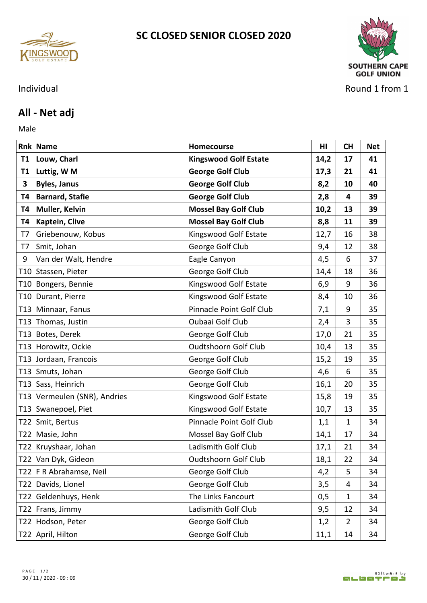



## Individual Round 1 from 1

## **All - Net adj**

Male **Male** 

|                 | <b>Rnk Name</b>              | <b>Homecourse</b>            | HI.  | <b>CH</b>      | <b>Net</b> |
|-----------------|------------------------------|------------------------------|------|----------------|------------|
| <b>T1</b>       | Louw, Charl                  | <b>Kingswood Golf Estate</b> | 14,2 | 17             | 41         |
| T1              | Luttig, W M                  | <b>George Golf Club</b>      | 17,3 | 21             | 41         |
| $\mathbf{3}$    | <b>Byles, Janus</b>          | <b>George Golf Club</b>      | 8,2  | 10             | 40         |
| T4              | <b>Barnard, Stafie</b>       | <b>George Golf Club</b>      | 2,8  | 4              | 39         |
| T4              | Muller, Kelvin               | <b>Mossel Bay Golf Club</b>  | 10,2 | 13             | 39         |
| Т4              | Kaptein, Clive               | <b>Mossel Bay Golf Club</b>  | 8,8  | 11             | 39         |
| T7              | Griebenouw, Kobus            | Kingswood Golf Estate        | 12,7 | 16             | 38         |
| T7              | Smit, Johan                  | George Golf Club             | 9,4  | 12             | 38         |
| 9               | Van der Walt, Hendre         | Eagle Canyon                 | 4,5  | 6              | 37         |
|                 | T10 Stassen, Pieter          | George Golf Club             | 14,4 | 18             | 36         |
|                 | T10 Bongers, Bennie          | Kingswood Golf Estate        | 6,9  | 9              | 36         |
| T <sub>10</sub> | Durant, Pierre               | Kingswood Golf Estate        | 8,4  | 10             | 36         |
|                 | T13 Minnaar, Fanus           | Pinnacle Point Golf Club     | 7,1  | 9              | 35         |
|                 | T13 Thomas, Justin           | Oubaai Golf Club             | 2,4  | 3              | 35         |
|                 | T13 Botes, Derek             | George Golf Club             | 17,0 | 21             | 35         |
|                 | T13 Horowitz, Ockie          | <b>Oudtshoorn Golf Club</b>  | 10,4 | 13             | 35         |
|                 | T13 Jordaan, Francois        | George Golf Club             | 15,2 | 19             | 35         |
|                 | T13 Smuts, Johan             | George Golf Club             | 4,6  | 6              | 35         |
|                 | T13 Sass, Heinrich           | George Golf Club             | 16,1 | 20             | 35         |
|                 | T13 Vermeulen (SNR), Andries | Kingswood Golf Estate        | 15,8 | 19             | 35         |
|                 | T13 Swanepoel, Piet          | Kingswood Golf Estate        | 10,7 | 13             | 35         |
|                 | T22 Smit, Bertus             | Pinnacle Point Golf Club     | 1,1  | $\mathbf 1$    | 34         |
|                 | T22 Masie, John              | Mossel Bay Golf Club         | 14,1 | 17             | 34         |
|                 | T22 Kruyshaar, Johan         | Ladismith Golf Club          | 17,1 | 21             | 34         |
|                 | T22 Van Dyk, Gideon          | Oudtshoorn Golf Club         | 18,1 | 22             | 34         |
|                 | T22   F R Abrahamse, Neil    | George Golf Club             | 4,2  | 5              | 34         |
|                 | T22 Davids, Lionel           | George Golf Club             | 3,5  | 4              | 34         |
|                 | T22 Geldenhuys, Henk         | The Links Fancourt           | 0,5  | 1              | 34         |
|                 | T22   Frans, Jimmy           | Ladismith Golf Club          | 9,5  | 12             | 34         |
|                 | T22 Hodson, Peter            | George Golf Club             | 1,2  | $\overline{2}$ | 34         |
|                 | T22 April, Hilton            | George Golf Club             | 11,1 | 14             | 34         |